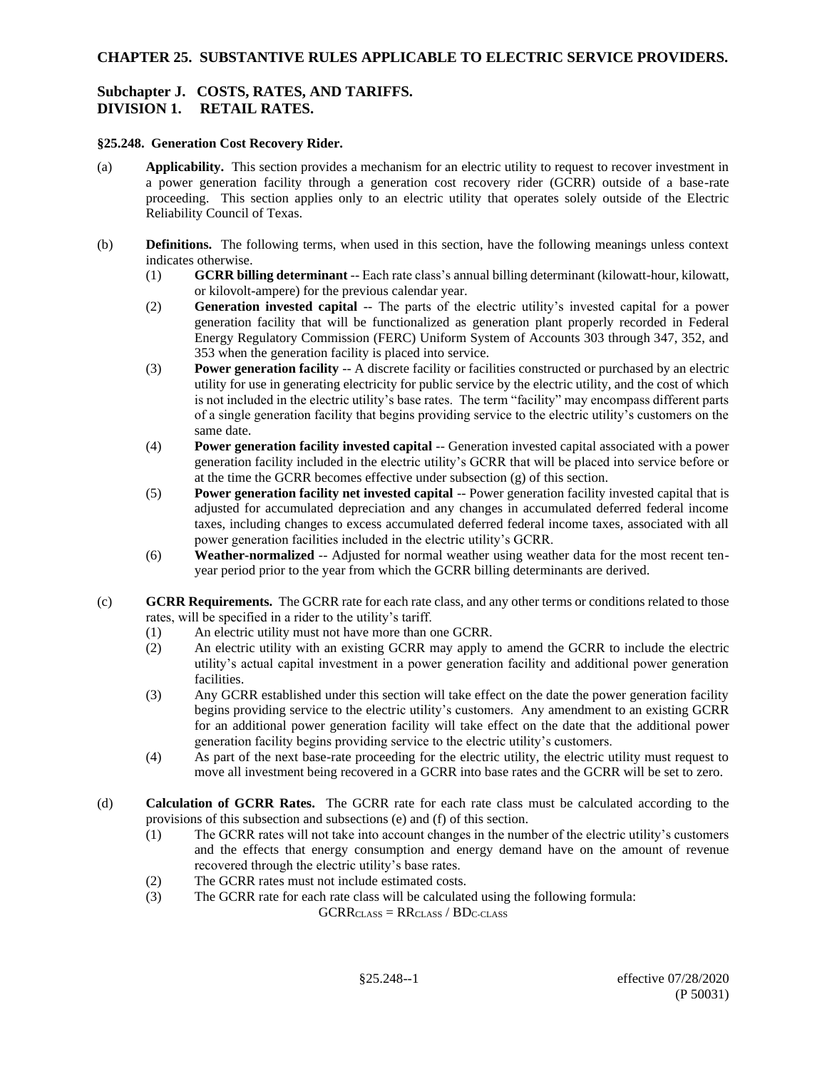## **CHAPTER 25. SUBSTANTIVE RULES APPLICABLE TO ELECTRIC SERVICE PROVIDERS.**

## **Subchapter J. COSTS, RATES, AND TARIFFS. DIVISION 1. RETAIL RATES.**

#### **§25.248. Generation Cost Recovery Rider.**

- (a) **Applicability.** This section provides a mechanism for an electric utility to request to recover investment in a power generation facility through a generation cost recovery rider (GCRR) outside of a base-rate proceeding. This section applies only to an electric utility that operates solely outside of the Electric Reliability Council of Texas.
- (b) **Definitions.** The following terms, when used in this section, have the following meanings unless context indicates otherwise.
	- (1) **GCRR billing determinant** -- Each rate class's annual billing determinant (kilowatt-hour, kilowatt, or kilovolt-ampere) for the previous calendar year.
	- (2) **Generation invested capital** -- The parts of the electric utility's invested capital for a power generation facility that will be functionalized as generation plant properly recorded in Federal Energy Regulatory Commission (FERC) Uniform System of Accounts 303 through 347, 352, and 353 when the generation facility is placed into service.
	- (3) **Power generation facility** -- A discrete facility or facilities constructed or purchased by an electric utility for use in generating electricity for public service by the electric utility, and the cost of which is not included in the electric utility's base rates. The term "facility" may encompass different parts of a single generation facility that begins providing service to the electric utility's customers on the same date.
	- (4) **Power generation facility invested capital** -- Generation invested capital associated with a power generation facility included in the electric utility's GCRR that will be placed into service before or at the time the GCRR becomes effective under subsection (g) of this section.
	- (5) **Power generation facility net invested capital** -- Power generation facility invested capital that is adjusted for accumulated depreciation and any changes in accumulated deferred federal income taxes, including changes to excess accumulated deferred federal income taxes, associated with all power generation facilities included in the electric utility's GCRR.
	- (6) **Weather-normalized** -- Adjusted for normal weather using weather data for the most recent tenyear period prior to the year from which the GCRR billing determinants are derived.
- (c) **GCRR Requirements.** The GCRR rate for each rate class, and any other terms or conditions related to those rates, will be specified in a rider to the utility's tariff.
	- (1) An electric utility must not have more than one GCRR.
	- (2) An electric utility with an existing GCRR may apply to amend the GCRR to include the electric utility's actual capital investment in a power generation facility and additional power generation facilities.
	- (3) Any GCRR established under this section will take effect on the date the power generation facility begins providing service to the electric utility's customers. Any amendment to an existing GCRR for an additional power generation facility will take effect on the date that the additional power generation facility begins providing service to the electric utility's customers.
	- (4) As part of the next base-rate proceeding for the electric utility, the electric utility must request to move all investment being recovered in a GCRR into base rates and the GCRR will be set to zero.
- (d) **Calculation of GCRR Rates.** The GCRR rate for each rate class must be calculated according to the provisions of this subsection and subsections (e) and (f) of this section.
	- (1) The GCRR rates will not take into account changes in the number of the electric utility's customers and the effects that energy consumption and energy demand have on the amount of revenue recovered through the electric utility's base rates.
	- (2) The GCRR rates must not include estimated costs.
	- (3) The GCRR rate for each rate class will be calculated using the following formula:

 $GCRR<sub>CLASS</sub> = RR<sub>CLASS</sub> / BD<sub>C-CLASS</sub>$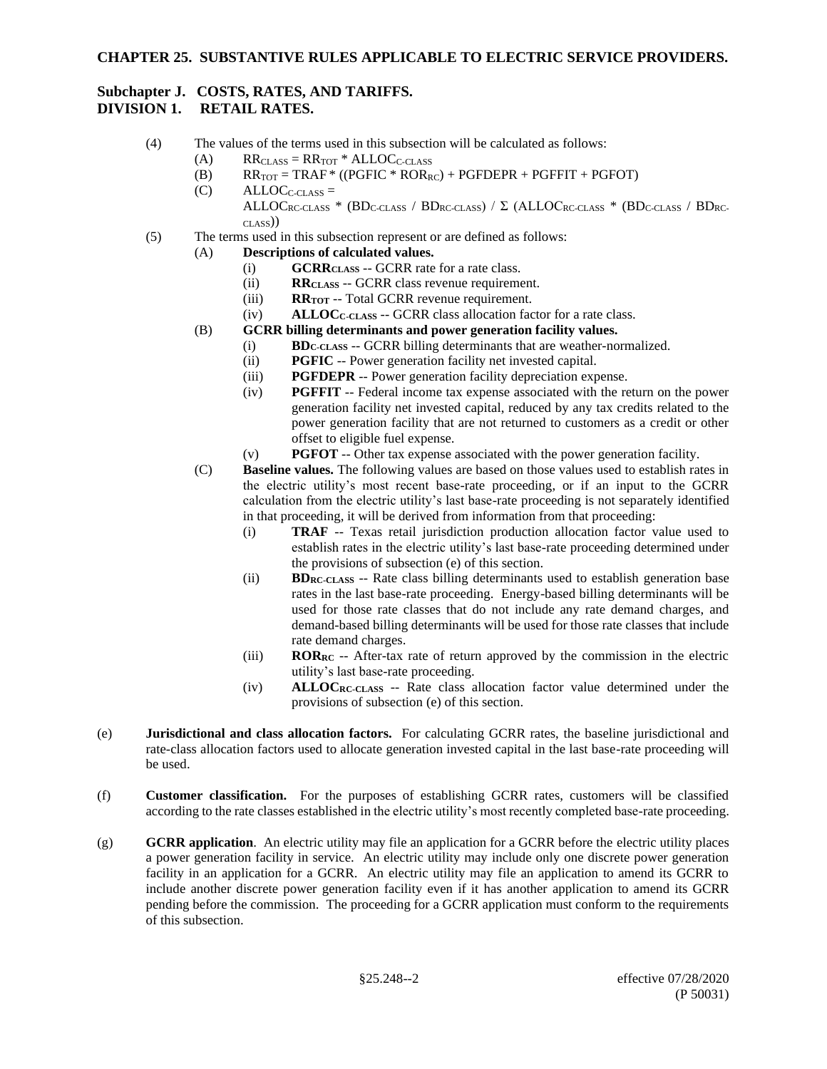## **CHAPTER 25. SUBSTANTIVE RULES APPLICABLE TO ELECTRIC SERVICE PROVIDERS.**

# **Subchapter J. COSTS, RATES, AND TARIFFS.**

# **DIVISION 1. RETAIL RATES.**

- (4) The values of the terms used in this subsection will be calculated as follows:
	- (A)  $RR_{\text{CLASS}} = RR_{\text{TOT}} * ALLOC_{\text{C}\text{-CLASS}}$
	- (B)  $RR_{TOT} = TRAF * ((PGFIC * ROR_{RC}) + PGFDEPR + PGFFIT + PGFOT)$
	- $(C)$  ALLOC<sub>C-CLASS</sub> =  $ALLOC_{RC-CLASS}$  \* (BD<sub>C-CLASS</sub> / BD<sub>RC-CLASS</sub>) /  $\Sigma$  (ALLOC<sub>RC-CLASS</sub> \* (BD<sub>C-CLASS</sub> / BD<sub>RC-</sub> CLASS))
- (5) The terms used in this subsection represent or are defined as follows:
	- (A) **Descriptions of calculated values.**
		- (i) **GCRRCLASS** -- GCRR rate for a rate class.
		- (ii) **RRCLASS** -- GCRR class revenue requirement.
		- (iii) **RRTOT** -- Total GCRR revenue requirement.
		- (iv) **ALLOCC-CLASS** -- GCRR class allocation factor for a rate class.
		- (B) **GCRR billing determinants and power generation facility values.**
			- (i) **BDC-CLASS** -- GCRR billing determinants that are weather-normalized.
				- (ii) **PGFIC** -- Power generation facility net invested capital.
				- (iii) **PGFDEPR** -- Power generation facility depreciation expense.
				- (iv) **PGFFIT** -- Federal income tax expense associated with the return on the power generation facility net invested capital, reduced by any tax credits related to the power generation facility that are not returned to customers as a credit or other offset to eligible fuel expense.
				- (v) **PGFOT** -- Other tax expense associated with the power generation facility.
		- (C) **Baseline values.** The following values are based on those values used to establish rates in the electric utility's most recent base-rate proceeding, or if an input to the GCRR calculation from the electric utility's last base-rate proceeding is not separately identified in that proceeding, it will be derived from information from that proceeding:
			- (i) **TRAF** -- Texas retail jurisdiction production allocation factor value used to establish rates in the electric utility's last base-rate proceeding determined under the provisions of subsection (e) of this section.
			- (ii) **BDRC-CLASS** -- Rate class billing determinants used to establish generation base rates in the last base-rate proceeding. Energy-based billing determinants will be used for those rate classes that do not include any rate demand charges, and demand-based billing determinants will be used for those rate classes that include rate demand charges.
			- (iii) **RORRC** -- After-tax rate of return approved by the commission in the electric utility's last base-rate proceeding.
			- (iv) **ALLOCRC-CLASS** -- Rate class allocation factor value determined under the provisions of subsection (e) of this section.
- (e) **Jurisdictional and class allocation factors.** For calculating GCRR rates, the baseline jurisdictional and rate-class allocation factors used to allocate generation invested capital in the last base-rate proceeding will be used.
- (f) **Customer classification.** For the purposes of establishing GCRR rates, customers will be classified according to the rate classes established in the electric utility's most recently completed base-rate proceeding.
- (g) **GCRR application**. An electric utility may file an application for a GCRR before the electric utility places a power generation facility in service. An electric utility may include only one discrete power generation facility in an application for a GCRR. An electric utility may file an application to amend its GCRR to include another discrete power generation facility even if it has another application to amend its GCRR pending before the commission. The proceeding for a GCRR application must conform to the requirements of this subsection.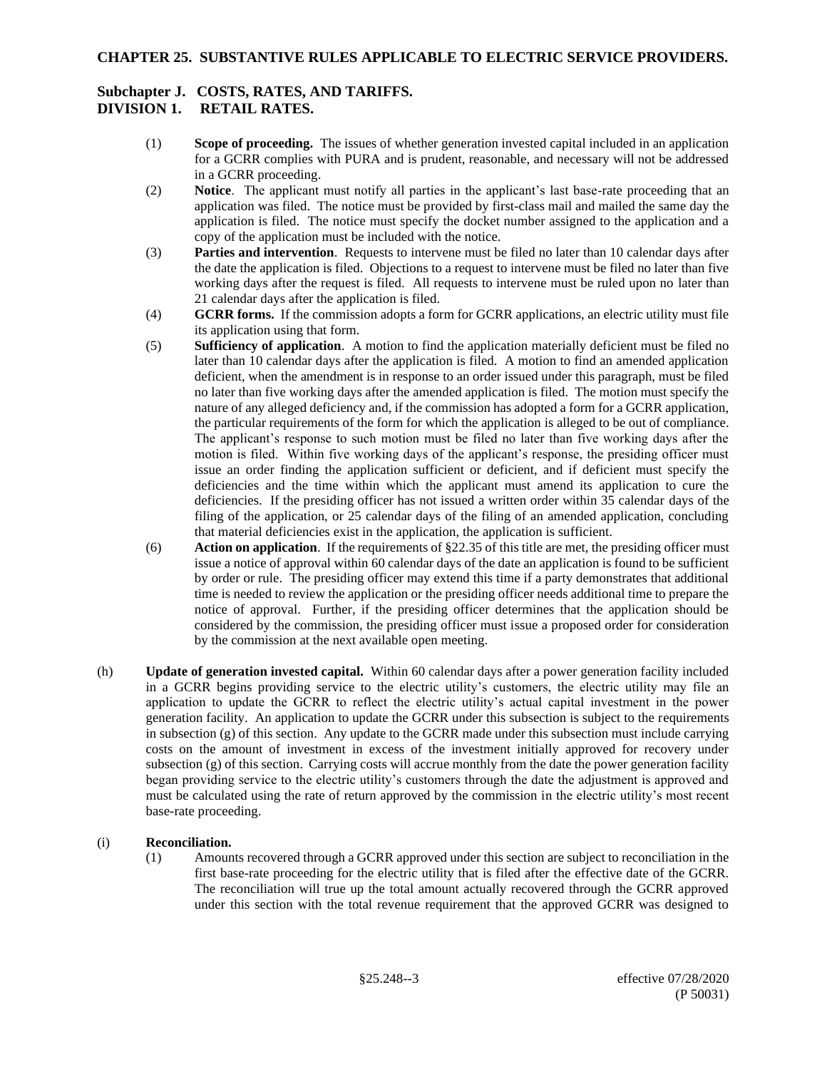# **Subchapter J. COSTS, RATES, AND TARIFFS.**

## **DIVISION 1. RETAIL RATES.**

- (1) **Scope of proceeding.** The issues of whether generation invested capital included in an application for a GCRR complies with PURA and is prudent, reasonable, and necessary will not be addressed in a GCRR proceeding.
- (2) **Notice**. The applicant must notify all parties in the applicant's last base-rate proceeding that an application was filed. The notice must be provided by first-class mail and mailed the same day the application is filed. The notice must specify the docket number assigned to the application and a copy of the application must be included with the notice.
- (3) **Parties and intervention**. Requests to intervene must be filed no later than 10 calendar days after the date the application is filed. Objections to a request to intervene must be filed no later than five working days after the request is filed. All requests to intervene must be ruled upon no later than 21 calendar days after the application is filed.
- (4) **GCRR forms.** If the commission adopts a form for GCRR applications, an electric utility must file its application using that form.
- (5) **Sufficiency of application**. A motion to find the application materially deficient must be filed no later than 10 calendar days after the application is filed. A motion to find an amended application deficient, when the amendment is in response to an order issued under this paragraph, must be filed no later than five working days after the amended application is filed. The motion must specify the nature of any alleged deficiency and, if the commission has adopted a form for a GCRR application, the particular requirements of the form for which the application is alleged to be out of compliance. The applicant's response to such motion must be filed no later than five working days after the motion is filed. Within five working days of the applicant's response, the presiding officer must issue an order finding the application sufficient or deficient, and if deficient must specify the deficiencies and the time within which the applicant must amend its application to cure the deficiencies. If the presiding officer has not issued a written order within 35 calendar days of the filing of the application, or 25 calendar days of the filing of an amended application, concluding that material deficiencies exist in the application, the application is sufficient.
- (6) **Action on application**. If the requirements of §22.35 of this title are met, the presiding officer must issue a notice of approval within 60 calendar days of the date an application is found to be sufficient by order or rule. The presiding officer may extend this time if a party demonstrates that additional time is needed to review the application or the presiding officer needs additional time to prepare the notice of approval. Further, if the presiding officer determines that the application should be considered by the commission, the presiding officer must issue a proposed order for consideration by the commission at the next available open meeting.
- (h) **Update of generation invested capital.** Within 60 calendar days after a power generation facility included in a GCRR begins providing service to the electric utility's customers, the electric utility may file an application to update the GCRR to reflect the electric utility's actual capital investment in the power generation facility. An application to update the GCRR under this subsection is subject to the requirements in subsection (g) of this section. Any update to the GCRR made under this subsection must include carrying costs on the amount of investment in excess of the investment initially approved for recovery under subsection (g) of this section. Carrying costs will accrue monthly from the date the power generation facility began providing service to the electric utility's customers through the date the adjustment is approved and must be calculated using the rate of return approved by the commission in the electric utility's most recent base-rate proceeding.

## (i) **Reconciliation.**

(1) Amounts recovered through a GCRR approved under this section are subject to reconciliation in the first base-rate proceeding for the electric utility that is filed after the effective date of the GCRR. The reconciliation will true up the total amount actually recovered through the GCRR approved under this section with the total revenue requirement that the approved GCRR was designed to